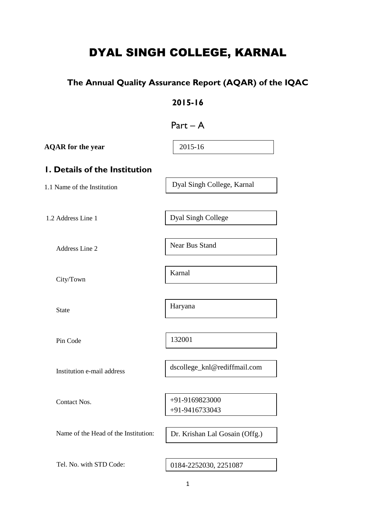# DYAL SINGH COLLEGE, KARNAL

# **The Annual Quality Assurance Report (AQAR) of the IQAC**

# **2015-16**

| Part |
|------|
|------|

| <b>AQAR</b> for the year             | 2015-16                        |
|--------------------------------------|--------------------------------|
| <b>I. Details of the Institution</b> |                                |
| 1.1 Name of the Institution          | Dyal Singh College, Karnal     |
|                                      |                                |
| 1.2 Address Line 1                   | Dyal Singh College             |
| Address Line 2                       | Near Bus Stand                 |
|                                      |                                |
| City/Town                            | Karnal                         |
|                                      |                                |
| <b>State</b>                         | Haryana                        |
|                                      |                                |
| Pin Code                             | 132001                         |
|                                      |                                |
| Institution e-mail address           | dscollege_knl@rediffmail.com   |
|                                      |                                |
| Contact Nos.                         | +91-9169823000                 |
|                                      | +91-9416733043                 |
| Name of the Head of the Institution: |                                |
|                                      | Dr. Krishan Lal Gosain (Offg.) |
|                                      |                                |
| Tel. No. with STD Code:              | 0184-2252030, 2251087          |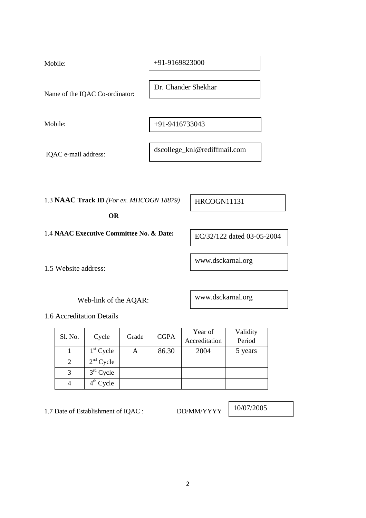| Mobile:                        | +91-9169823000               |
|--------------------------------|------------------------------|
| Name of the IQAC Co-ordinator: | Dr. Chander Shekhar          |
| Mobile:                        | +91-9416733043               |
| IQAC e-mail address:           | dscollege_knl@rediffmail.com |

1.3 **NAAC Track ID** *(For ex. MHCOGN 18879)*

 **OR** 

1.4 **NAAC Executive Committee No. & Date:** 

1.5 Website address:

Web-link of the AQAR:

1.6 Accreditation Details

|         | Cycle       | Grade | <b>CGPA</b> | Year of | Validity      |
|---------|-------------|-------|-------------|---------|---------------|
| Sl. No. |             |       |             |         | Accreditation |
|         | $1st$ Cycle |       | 86.30       | 2004    | 5 years       |
|         | $2nd$ Cycle |       |             |         |               |
| 3       | $3rd$ Cycle |       |             |         |               |
|         | $4th$ Cycle |       |             |         |               |

1.7 Date of Establishment of IQAC : DD/MM/YYYY

10/07/2005

HRCOGN11131

EC/32/122 dated 03-05-2004

www.dsckarnal.org

www.dsckarnal.org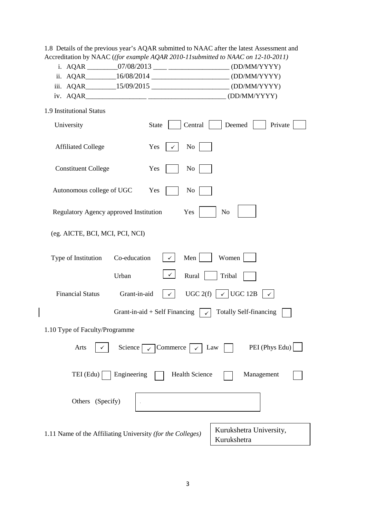| 1.8 Details of the previous year's AQAR submitted to NAAC after the latest Assessment and |  |
|-------------------------------------------------------------------------------------------|--|
| Accreditation by NAAC ( <i>(for example AQAR 2010-11submitted to NAAC on 12-10-2011</i> ) |  |

|  | i. AQAR | 07/08/2013 |  | (DD/MM/YYYY |
|--|---------|------------|--|-------------|
|--|---------|------------|--|-------------|

|  | ii. AQAR | 16/08/2014 |  | (DD/MM/YYYY) |
|--|----------|------------|--|--------------|
|--|----------|------------|--|--------------|

| 15/09/2015<br>iii. AQAR<br>(DD/MM/YYYY) |  |  |
|-----------------------------------------|--|--|
|-----------------------------------------|--|--|

| iv. AQAR<br>. | (DD/MM/YYYY) |
|---------------|--------------|
|---------------|--------------|

 $\overline{\phantom{a}}$ 

| University                                                 | Central<br><b>State</b>         | Deemed<br>Private                      |
|------------------------------------------------------------|---------------------------------|----------------------------------------|
| <b>Affiliated College</b>                                  | Yes<br>N <sub>0</sub><br>✓      |                                        |
| <b>Constituent College</b>                                 | Yes<br>N <sub>o</sub>           |                                        |
| Autonomous college of UGC                                  | Yes<br>N <sub>0</sub>           |                                        |
| Regulatory Agency approved Institution                     | Yes                             | N <sub>0</sub>                         |
| (eg. AICTE, BCI, MCI, PCI, NCI)                            |                                 |                                        |
| Co-education<br>Type of Institution                        | Men                             | Women                                  |
| Urban                                                      | ✓<br>Rural                      | Tribal                                 |
| <b>Financial Status</b><br>Grant-in-aid                    | UGC $2(f)$                      | $\checkmark$ UGC 12B<br>✓              |
|                                                            | Grant-in-aid $+$ Self Financing | <b>Totally Self-financing</b>          |
| 1.10 Type of Faculty/Programme                             |                                 |                                        |
| Arts<br>Science                                            | $\checkmark$ Commerce           | PEI (Phys Edu)<br>Law                  |
| TEI (Edu)<br>Engineering                                   | <b>Health Science</b>           | Management                             |
| Others (Specify)                                           |                                 |                                        |
| 1.11 Name of the Affiliating University (for the Colleges) |                                 | Kurukshetra University,<br>Kurukshetra |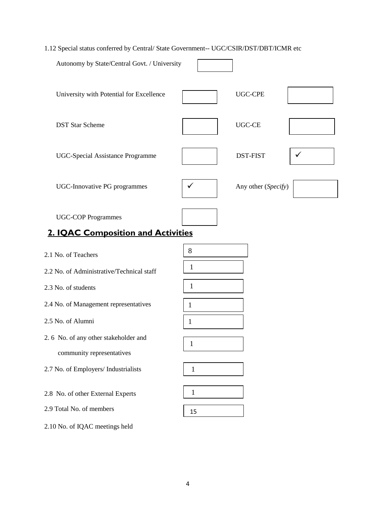# 1.12 Special status conferred by Central/ State Government-- UGC/CSIR/DST/DBT/ICMR etc

| Autonomy by State/Central Govt. / University                    |   |                     |  |
|-----------------------------------------------------------------|---|---------------------|--|
| University with Potential for Excellence                        |   | <b>UGC-CPE</b>      |  |
| <b>DST Star Scheme</b>                                          |   | <b>UGC-CE</b>       |  |
| <b>UGC-Special Assistance Programme</b>                         |   | <b>DST-FIST</b>     |  |
| <b>UGC-Innovative PG programmes</b>                             | ✔ | Any other (Specify) |  |
| <b>UGC-COP Programmes</b><br>2. IQAC Composition and Activities |   |                     |  |

| 2.1 No. of Teachers                       | 8            |
|-------------------------------------------|--------------|
| 2.2 No. of Administrative/Technical staff | $\mathbf{1}$ |
| 2.3 No. of students                       | $\mathbf{1}$ |
| 2.4 No. of Management representatives     | $\mathbf{1}$ |
| 2.5 No. of Alumni                         | 1            |
| 2.6 No. of any other stakeholder and      | $\mathbf{1}$ |
| community representatives                 |              |
| 2.7 No. of Employers/ Industrialists      | $\mathbf{1}$ |
|                                           |              |
| 2.8 No. of other External Experts         | 1            |
| 2.9 Total No. of members                  | 15           |
| 2.10 No. of IQAC meetings held            |              |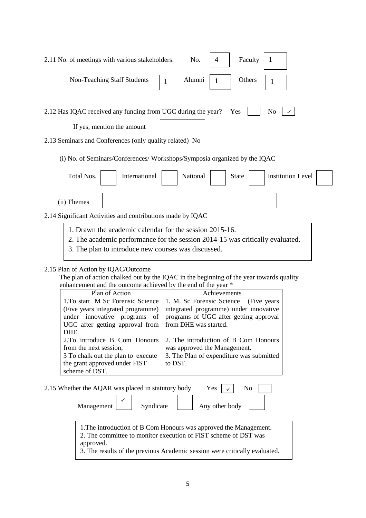| Faculty<br>2.11 No. of meetings with various stakeholders:<br>No.<br>4                                                                                                                          |
|-------------------------------------------------------------------------------------------------------------------------------------------------------------------------------------------------|
| Alumni<br><b>Non-Teaching Staff Students</b><br>Others<br>1                                                                                                                                     |
| 2.12 Has IQAC received any funding from UGC during the year?<br>Yes<br>No<br>If yes, mention the amount                                                                                         |
| 2.13 Seminars and Conferences (only quality related) No                                                                                                                                         |
| (i) No. of Seminars/Conferences/Workshops/Symposia organized by the IQAC                                                                                                                        |
| International<br>National<br>Total Nos.<br><b>Institution Level</b><br><b>State</b>                                                                                                             |
| (ii) Themes                                                                                                                                                                                     |
| 2.14 Significant Activities and contributions made by IQAC                                                                                                                                      |
| 1. Drawn the academic calendar for the session 2015-16.<br>2. The academic performance for the session 2014-15 was critically evaluated.<br>3. The plan to introduce new courses was discussed. |

# 2.15 Plan of Action by IQAC/Outcome

 The plan of action chalked out by the IQAC in the beginning of the year towards quality enhancement and the outcome achieved by the end of the year \*

| Plan of Action                                          | Achievements                                                              |  |  |
|---------------------------------------------------------|---------------------------------------------------------------------------|--|--|
|                                                         | 1. To start M Sc Forensic Science   1. M. Sc Forensic Science (Five years |  |  |
| (Five years integrated programme)                       | integrated programme) under innovative                                    |  |  |
| under innovative programs of                            | programs of UGC after getting approval                                    |  |  |
| UGC after getting approval from   from DHE was started. |                                                                           |  |  |
| DHE.                                                    |                                                                           |  |  |
| 2. To introduce B Com Honours                           | 2. The introduction of B Com Honours                                      |  |  |
| from the next session,                                  | was approved the Management.                                              |  |  |
| 3 To chalk out the plan to execute                      | 3. The Plan of expenditure was submitted                                  |  |  |
| the grant approved under FIST                           | to DST.                                                                   |  |  |
| scheme of DST.                                          |                                                                           |  |  |

| 2.15 Whether the AQAR was placed in statutory body | Yes | No        |  |                |  |  |
|----------------------------------------------------|-----|-----------|--|----------------|--|--|
| Management                                         |     | Syndicate |  | Any other body |  |  |

1. The introduction of B Com Honours was approved the Management. 2. The committee to monitor execution of FIST scheme of DST was approved.

3. The results of the previous Academic session were critically evaluated.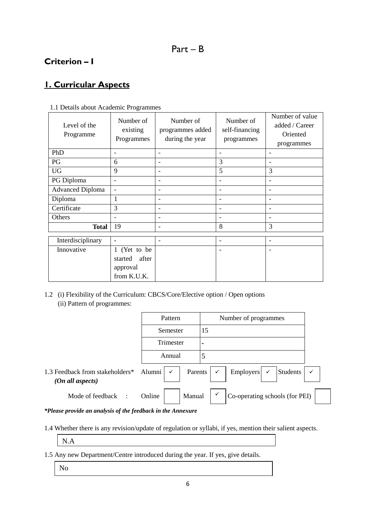# **Criterion – I**

# **1. Curricular Aspects**

| Level of the<br>Programme | Number of<br>existing<br>Programmes | Number of<br>programmes added<br>during the year | Number of<br>self-financing<br>programmes | Number of value<br>added / Career<br>Oriented<br>programmes |
|---------------------------|-------------------------------------|--------------------------------------------------|-------------------------------------------|-------------------------------------------------------------|
| PhD                       | ۰                                   | ۰                                                | $\overline{\phantom{a}}$                  | $\overline{\phantom{a}}$                                    |
| PG                        | 6                                   | $\overline{\phantom{0}}$                         | 3                                         | $\overline{\phantom{0}}$                                    |
| <b>UG</b>                 | 9                                   | ۰                                                | 5                                         | 3                                                           |
| PG Diploma                | $\qquad \qquad$                     | $\qquad \qquad$                                  | $\overline{\phantom{a}}$                  | -                                                           |
| <b>Advanced Diploma</b>   | $\qquad \qquad$                     |                                                  | $\overline{\phantom{0}}$                  |                                                             |
| Diploma                   | 1                                   |                                                  |                                           |                                                             |
| Certificate               | 3                                   |                                                  |                                           |                                                             |
| Others                    |                                     |                                                  |                                           |                                                             |
| <b>Total</b>              | 19                                  | $\overline{\phantom{a}}$                         | 8                                         | 3                                                           |
| Interdisciplinary         | -                                   | $\overline{\phantom{a}}$                         | $\overline{\phantom{a}}$                  | $\overline{\phantom{a}}$                                    |
| Innovative                | 1 (Yet to be                        |                                                  |                                           |                                                             |
|                           | after<br>started                    |                                                  |                                           |                                                             |
|                           | approval                            |                                                  |                                           |                                                             |
|                           | from K.U.K.                         |                                                  |                                           |                                                             |

1.1 Details about Academic Programmes

1.2 (i) Flexibility of the Curriculum: CBCS/Core/Elective option / Open options (ii) Pattern of programmes:

|                                                     | Pattern                         | Number of programmes                                             |
|-----------------------------------------------------|---------------------------------|------------------------------------------------------------------|
|                                                     | Semester                        | 15                                                               |
|                                                     | Trimester                       | $\blacksquare$                                                   |
|                                                     | Annual                          | 5                                                                |
| 1.3 Feedback from stakeholders*<br>(On all aspects) | Alumni $\vert \checkmark \vert$ | Parents $\vert \checkmark$<br>Students<br>Employers $\checkmark$ |
| Mode of feedback :                                  | Manual<br>Online                | Co-operating schools (for PEI)                                   |

#### *\*Please provide an analysis of the feedback in the Annexure*

1.4 Whether there is any revision/update of regulation or syllabi, if yes, mention their salient aspects.

N.A

- 1.5 Any new Department/Centre introduced during the year. If yes, give details.
	- No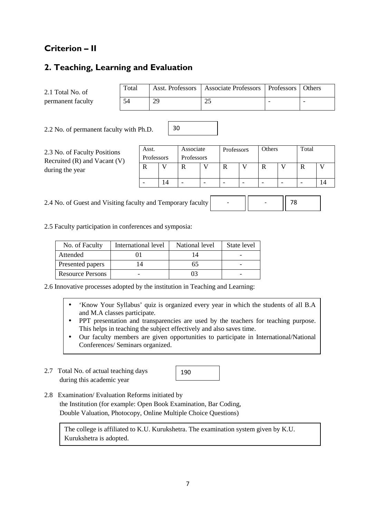# **Criterion – II**

# **2. Teaching, Learning and Evaluation**

| 2.1 Total No. of  | Total |    | Asst. Professors   Associate Professors   Professors   Others |  |
|-------------------|-------|----|---------------------------------------------------------------|--|
| permanent faculty | 54    | 29 | 25                                                            |  |

30

2.2 No. of permanent faculty with Ph.D.

2.3 No. of Faculty Positions Recruited (R) and Vacant (V) during the year

| Asst.      | Associate |            | Professors |  | Others |  | Total |  |  |  |  |  |  |
|------------|-----------|------------|------------|--|--------|--|-------|--|--|--|--|--|--|
| Professors |           | Professors |            |  |        |  |       |  |  |  |  |  |  |
|            |           |            |            |  |        |  |       |  |  |  |  |  |  |
|            |           |            |            |  |        |  |       |  |  |  |  |  |  |
|            |           |            |            |  |        |  |       |  |  |  |  |  |  |

-

- 78

2.4 No. of Guest and Visiting faculty and Temporary faculty

2.5 Faculty participation in conferences and symposia:

| No. of Faculty          | International level | National level | State level |
|-------------------------|---------------------|----------------|-------------|
| Attended                |                     |                |             |
| Presented papers        |                     |                |             |
| <b>Resource Persons</b> |                     |                |             |

2.6 Innovative processes adopted by the institution in Teaching and Learning:

- 'Know Your Syllabus' quiz is organized every year in which the students of all B.A and M.A classes participate.
- PPT presentation and transparencies are used by the teachers for teaching purpose. This helps in teaching the subject effectively and also saves time.
- Our faculty members are given opportunities to participate in International/National Conferences/ Seminars organized.
- 2.7 Total No. of actual teaching days during this academic year



2.8 Examination/ Evaluation Reforms initiated by the Institution (for example: Open Book Examination, Bar Coding, Double Valuation, Photocopy, Online Multiple Choice Questions)

The college is affiliated to K.U. Kurukshetra. The examination system given by K.U. Kurukshetra is adopted.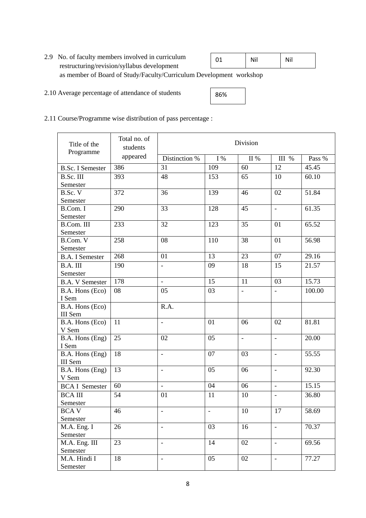| 2.9 No. of faculty members involved in curriculum                   | -01 | Nil | Nil |
|---------------------------------------------------------------------|-----|-----|-----|
| restructuring/revision/syllabus development                         |     |     |     |
| as member of Board of Study/Faculty/Curriculum Development workshop |     |     |     |

2.10 Average percentage of attendance of students

| 86% |  |
|-----|--|
|-----|--|

2.11 Course/Programme wise distribution of pass percentage :

| Title of the<br>Programme | Total no. of<br>students | Division                 |                |                |                          |                    |  |
|---------------------------|--------------------------|--------------------------|----------------|----------------|--------------------------|--------------------|--|
|                           | appeared                 | Distinction %            | I %            | II %           | III %                    | Pass %             |  |
| <b>B.Sc. I Semester</b>   | 386                      | 31                       | 109            | 60             | 12                       | 45.45              |  |
| B.Sc. III                 | 393                      | 48                       | 153            | 65             | 10                       | 60.10              |  |
| Semester                  |                          |                          |                |                |                          |                    |  |
| B.Sc. V                   | 372                      | 36                       | 139            | 46             | 02                       | 51.84              |  |
| Semester                  |                          |                          |                |                |                          |                    |  |
| B.Com. I                  | 290                      | 33                       | 128            | 45             | $\blacksquare$           | 61.35              |  |
| Semester                  |                          |                          |                |                |                          |                    |  |
| B.Com. III                | 233                      | 32                       | 123            | 35             | 01                       | 65.52              |  |
| Semester                  |                          |                          |                |                |                          |                    |  |
| B.Com. V                  | 258                      | 08                       | 110            | 38             | 01                       | 56.98              |  |
| Semester                  |                          |                          |                |                |                          |                    |  |
| <b>B.A.</b> I Semester    | 268                      | 01                       | 13             | 23             | 07                       | 29.16              |  |
| B.A. III                  | 190                      | $\frac{1}{2}$            | 09             | 18             | 15                       | 21.57              |  |
| Semester                  |                          |                          |                |                |                          |                    |  |
| <b>B.A. V Semester</b>    | 178                      | $\blacksquare$           | 15             | 11             | 03                       | 15.73              |  |
| B.A. Hons (Eco)           | 08                       | 05                       | 03             |                |                          | 100.00             |  |
| I Sem                     |                          |                          |                |                |                          |                    |  |
| B.A. Hons (Eco)           |                          | R.A.                     |                |                |                          |                    |  |
| III Sem                   |                          |                          |                |                |                          |                    |  |
| B.A. Hons (Eco)           | 11                       | $\overline{\phantom{a}}$ | 01             | 06             | 02                       | 81.81              |  |
| V Sem                     |                          |                          |                |                |                          |                    |  |
| B.A. Hons (Eng)           | 25                       | 02                       | 05             | $\blacksquare$ | $\overline{a}$           | 20.00              |  |
| I Sem                     |                          |                          |                |                |                          |                    |  |
| B.A. Hons (Eng)           | 18                       | $\overline{\phantom{a}}$ | 07             | 03             | $\overline{\phantom{a}}$ | 55.55              |  |
| <b>III</b> Sem            |                          |                          |                |                |                          |                    |  |
| B.A. Hons (Eng)           | 13                       | $\overline{\phantom{a}}$ | 05             | 06             | $\blacksquare$           | 92.30              |  |
| V Sem                     | 60                       | $\overline{\phantom{a}}$ | 04             | 06             |                          | 15.15              |  |
| <b>BCA I Semester</b>     |                          |                          |                |                | $\blacksquare$           |                    |  |
| <b>BCA III</b>            | 54                       | 01                       | 11             | 10             | $\overline{\phantom{a}}$ | 36.80              |  |
| Semester                  |                          |                          |                |                |                          |                    |  |
| <b>BCAV</b>               | 46                       | $\qquad \qquad -$        | $\overline{a}$ | 10             | 17                       | 58.69              |  |
| Semester                  |                          |                          |                |                |                          |                    |  |
| M.A. Eng. I               | 26                       | $\overline{\phantom{a}}$ | 03             | 16             | $\overline{\phantom{0}}$ | 70.37              |  |
| Semester                  |                          |                          |                |                |                          | 69.56              |  |
| M.A. Eng. III<br>Semester | 23                       | $\overline{\phantom{a}}$ | 14             | 02             | $\overline{\phantom{a}}$ |                    |  |
| M.A. Hindi I              | 18                       | $\overline{\phantom{a}}$ | 05             | 02             | $\overline{\phantom{a}}$ | $\overline{77.27}$ |  |
| Semester                  |                          |                          |                |                |                          |                    |  |
|                           |                          |                          |                |                |                          |                    |  |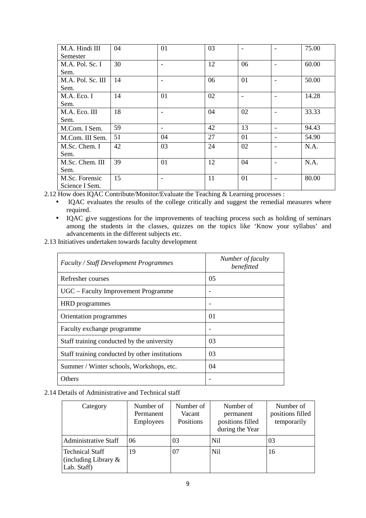| M.A. Hindi III    | 04 | 01                       | 03 | $\overline{\phantom{a}}$ | $\overline{\phantom{0}}$ | 75.00 |
|-------------------|----|--------------------------|----|--------------------------|--------------------------|-------|
| Semester          |    |                          |    |                          |                          |       |
| M.A. Pol. Sc. I   | 30 | $\overline{\phantom{0}}$ | 12 | 06                       | $\overline{\phantom{0}}$ | 60.00 |
| Sem.              |    |                          |    |                          |                          |       |
| M.A. Pol. Sc. III | 14 | $\overline{\phantom{0}}$ | 06 | 01                       |                          | 50.00 |
| Sem.              |    |                          |    |                          |                          |       |
| M.A. Eco. I       | 14 | 01                       | 02 |                          | $\overline{\phantom{0}}$ | 14.28 |
| Sem.              |    |                          |    |                          |                          |       |
| M.A. Eco. III     | 18 | ۰                        | 04 | 02                       |                          | 33.33 |
| Sem.              |    |                          |    |                          |                          |       |
| M.Com. I Sem.     | 59 | $\overline{\phantom{a}}$ | 42 | 13                       | $\overline{\phantom{0}}$ | 94.43 |
| M.Com. III Sem.   | 51 | 04                       | 27 | 01                       | $\overline{\phantom{0}}$ | 54.90 |
| M.Sc. Chem. I     | 42 | 03                       | 24 | 02                       | ۰                        | N.A.  |
| Sem.              |    |                          |    |                          |                          |       |
| M.Sc. Chem. III   | 39 | 01                       | 12 | 04                       |                          | N.A.  |
| Sem.              |    |                          |    |                          |                          |       |
| M.Sc. Forensic    | 15 | $\overline{\phantom{0}}$ | 11 | 01                       |                          | 80.00 |
| Science I Sem.    |    |                          |    |                          |                          |       |

2.12 How does IQAC Contribute/Monitor/Evaluate the Teaching & Learning processes :

- IQAC evaluates the results of the college critically and suggest the remedial measures where required.
- IQAC give suggestions for the improvements of teaching process such as holding of seminars among the students in the classes, quizzes on the topics like 'Know your syllabus' and advancements in the different subjects etc.

2.13 Initiatives undertaken towards faculty development

| <b>Faculty / Staff Development Programmes</b>  | Number of faculty<br>benefitted |
|------------------------------------------------|---------------------------------|
| Refresher courses                              | 05                              |
| UGC – Faculty Improvement Programme            |                                 |
| <b>HRD</b> programmes                          |                                 |
| Orientation programmes                         | $\Omega$                        |
| Faculty exchange programme                     |                                 |
| Staff training conducted by the university     | 03                              |
| Staff training conducted by other institutions | 03                              |
| Summer / Winter schools, Workshops, etc.       | 04                              |
| Others                                         |                                 |

### 2.14 Details of Administrative and Technical staff

| Category                                                         | Number of<br>Permanent<br>Employees | Number of<br>Vacant<br>Positions | Number of<br>permanent<br>positions filled<br>during the Year | Number of<br>positions filled<br>temporarily |
|------------------------------------------------------------------|-------------------------------------|----------------------------------|---------------------------------------------------------------|----------------------------------------------|
| <b>Administrative Staff</b>                                      | 06                                  | 03                               | <b>Nil</b>                                                    | 03                                           |
| <b>Technical Staff</b><br>(including Library $\&$<br>Lab. Staff) | 19                                  | 07                               | N <sub>i</sub>                                                | 16                                           |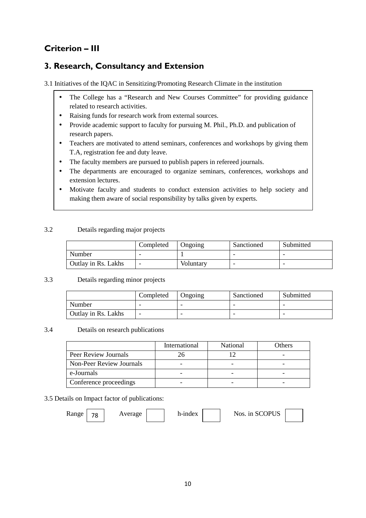# **Criterion – III**

# **3. Research, Consultancy and Extension**

3.1 Initiatives of the IQAC in Sensitizing/Promoting Research Climate in the institution

- The College has a "Research and New Courses Committee" for providing guidance related to research activities.
- Raising funds for research work from external sources.
- Provide academic support to faculty for pursuing M. Phil., Ph.D. and publication of research papers.
- Teachers are motivated to attend seminars, conferences and workshops by giving them T.A, registration fee and duty leave.
- The faculty members are pursued to publish papers in refereed journals.
- The departments are encouraged to organize seminars, conferences, workshops and extension lectures.
- Motivate faculty and students to conduct extension activities to help society and making them aware of social responsibility by talks given by experts.

### 3.2 Details regarding major projects

|                     | Completed | Ongoing   | Sanctioned | Submitted |
|---------------------|-----------|-----------|------------|-----------|
| Number              |           |           |            |           |
| Outlay in Rs. Lakhs | -         | Voluntary | -          |           |

### 3.3 Details regarding minor projects

|                     | Completed | Ongoing | Sanctioned | Submitted |
|---------------------|-----------|---------|------------|-----------|
| Number              |           | -       |            | -         |
| Outlay in Rs. Lakhs |           |         |            | -         |

#### 3.4 Details on research publications

|                                 | International | National | Others |
|---------------------------------|---------------|----------|--------|
| Peer Review Journals            |               |          |        |
| <b>Non-Peer Review Journals</b> |               |          |        |
| e-Journals                      |               |          |        |
| Conference proceedings          |               |          |        |

#### 3.5 Details on Impact factor of publications:

Range  $\begin{array}{|c|c|c|c|c|c|} \hline \end{array}$  Average h-index  $\begin{array}{|c|c|c|c|c|c|c|} \hline \end{array}$  Nos. in SCOPUS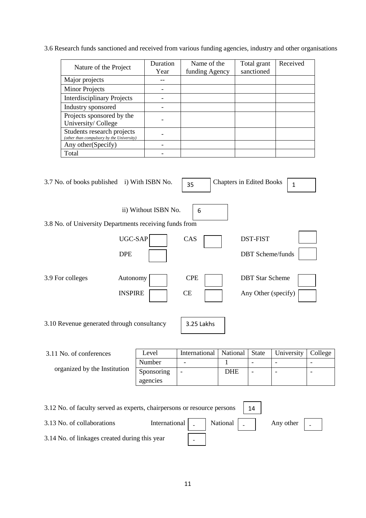3.6 Research funds sanctioned and received from various funding agencies, industry and other organisations

| Nature of the Project                                                   | Duration<br>Year | Name of the<br>funding Agency | Total grant<br>sanctioned | Received |
|-------------------------------------------------------------------------|------------------|-------------------------------|---------------------------|----------|
| Major projects                                                          |                  |                               |                           |          |
| <b>Minor Projects</b>                                                   |                  |                               |                           |          |
| <b>Interdisciplinary Projects</b>                                       |                  |                               |                           |          |
| Industry sponsored                                                      |                  |                               |                           |          |
| Projects sponsored by the<br>University/College                         |                  |                               |                           |          |
| Students research projects<br>(other than compulsory by the University) |                  |                               |                           |          |
| Any other (Specify)                                                     |                  |                               |                           |          |
| Total                                                                   |                  |                               |                           |          |

| 3.7 No. of books published i) With ISBN No.            |                            | 35               | <b>Chapters in Edited Books</b> |                          | $\mathbf 1$              |         |
|--------------------------------------------------------|----------------------------|------------------|---------------------------------|--------------------------|--------------------------|---------|
| 3.8 No. of University Departments receiving funds from | ii) Without ISBN No.       | 6                |                                 |                          |                          |         |
|                                                        | UGC-SAP                    | CAS              |                                 | <b>DST-FIST</b>          |                          |         |
| <b>DPE</b>                                             |                            |                  |                                 |                          | <b>DBT</b> Scheme/funds  |         |
| 3.9 For colleges                                       | Autonomy<br><b>INSPIRE</b> | <b>CPE</b><br>CE |                                 | <b>DBT</b> Star Scheme   | Any Other (specify)      |         |
| 3.10 Revenue generated through consultancy             |                            | 3.25 Lakhs       |                                 |                          |                          |         |
| 3.11 No. of conferences                                | Level                      | International    | National                        | <b>State</b>             | University               | College |
|                                                        | Number                     |                  | 1                               | $\overline{\phantom{a}}$ | $\overline{\phantom{a}}$ |         |
| organized by the Institution                           | Sponsoring<br>agencies     |                  | <b>DHE</b>                      | $\qquad \qquad -$        | $\overline{\phantom{a}}$ | ۰       |
|                                                        |                            |                  |                                 |                          |                          |         |

| 3.12 No. of faculty served as experts, chairpersons or resource persons | -14                              |  |  |                     |  |
|-------------------------------------------------------------------------|----------------------------------|--|--|---------------------|--|
| 3.13 No. of collaborations                                              | International   _   National   _ |  |  | Any other $\vert$ - |  |
| 3.14 No. of linkages created during this year                           |                                  |  |  |                     |  |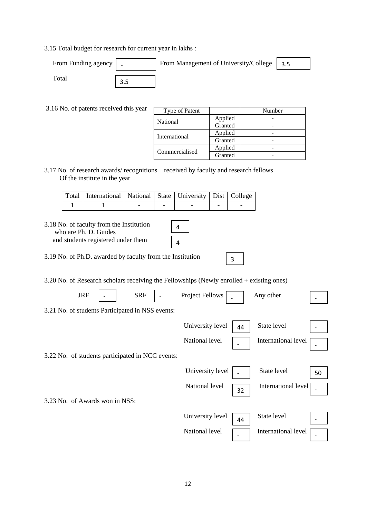3.15 Total budget for research for current year in lakhs :

| From Funding agency | From Management of University/College | 3.5 |
|---------------------|---------------------------------------|-----|
| `otal               |                                       |     |

3.16 No. of patents received this year

| Type of Patent |         | Number |
|----------------|---------|--------|
| National       | Applied |        |
|                | Granted |        |
|                | Applied |        |
| International  | Granted |        |
|                | Applied |        |
| Commercialised | Granted |        |

3.17 No. of research awards/ recognitions received by faculty and research fellows Of the institute in the year

| Total   International   National   State   University   Dist   College |  |  |  |
|------------------------------------------------------------------------|--|--|--|
|                                                                        |  |  |  |

| 3.18 No. of faculty from the Institution<br>who are Ph. D. Guides<br>and students registered under them | 4 |   |  |
|---------------------------------------------------------------------------------------------------------|---|---|--|
| 3.19 No. of Ph.D. awarded by faculty from the Institution                                               |   | ς |  |
| $3.20$ No. of Research scholars receiving the Fellowships (Newly enrolled + existing ones)              |   |   |  |
|                                                                                                         |   |   |  |

| <b>JRF</b>                                       | <b>SRF</b> | <b>Project Fellows</b> |    | Any other           |    |
|--------------------------------------------------|------------|------------------------|----|---------------------|----|
| 3.21 No. of students Participated in NSS events: |            |                        |    |                     |    |
|                                                  |            | University level       | 44 | State level         |    |
|                                                  |            | National level         |    | International level |    |
| 3.22 No. of students participated in NCC events: |            |                        |    |                     |    |
|                                                  |            | University level       |    | State level         | 50 |
|                                                  |            | National level         | 32 | International level |    |
| 3.23 No. of Awards won in NSS:                   |            |                        |    |                     |    |
|                                                  |            | University level       | 44 | State level         |    |
|                                                  |            | National level         |    | International level |    |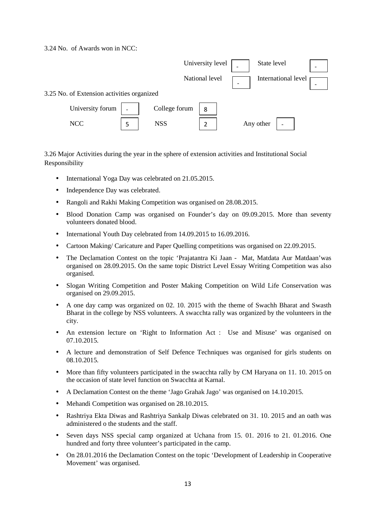3.24 No. of Awards won in NCC:



3.26 Major Activities during the year in the sphere of extension activities and Institutional Social Responsibility

- International Yoga Day was celebrated on 21.05.2015.
- Independence Day was celebrated.
- Rangoli and Rakhi Making Competition was organised on 28,08,2015.
- Blood Donation Camp was organised on Founder's day on 09.09.2015. More than seventy volunteers donated blood.
- International Youth Day celebrated from 14.09.2015 to 16.09.2016.
- Cartoon Making/ Caricature and Paper Quelling competitions was organised on 22.09.2015.
- The Declamation Contest on the topic 'Prajatantra Ki Jaan Mat, Matdata Aur Matdaan'was organised on 28.09.2015. On the same topic District Level Essay Writing Competition was also organised.
- Slogan Writing Competition and Poster Making Competition on Wild Life Conservation was organised on 29.09.2015.
- A one day camp was organized on 02. 10. 2015 with the theme of Swachh Bharat and Swasth Bharat in the college by NSS volunteers. A swacchta rally was organized by the volunteers in the city.
- An extension lecture on 'Right to Information Act : Use and Misuse' was organised on 07.10.2015.
- A lecture and demonstration of Self Defence Techniques was organised for girls students on 08.10.2015.
- More than fifty volunteers participated in the swacchta rally by CM Haryana on 11. 10. 2015 on the occasion of state level function on Swacchta at Karnal.
- A Declamation Contest on the theme 'Jago Grahak Jago' was organised on 14.10.2015.
- Mehandi Competition was organised on 28,10,2015.
- Rashtriya Ekta Diwas and Rashtriya Sankalp Diwas celebrated on 31, 10, 2015 and an oath was administered o the students and the staff.
- Seven days NSS special camp organized at Uchana from 15. 01. 2016 to 21. 01.2016. One hundred and forty three volunteer's participated in the camp.
- On 28.01.2016 the Declamation Contest on the topic 'Development of Leadership in Cooperative Movement' was organised.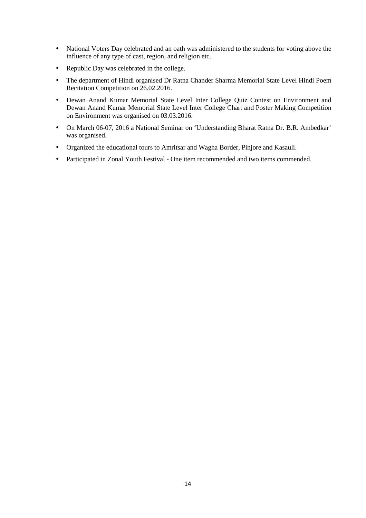- National Voters Day celebrated and an oath was administered to the students for voting above the influence of any type of cast, region, and religion etc.
- Republic Day was celebrated in the college.
- The department of Hindi organised Dr Ratna Chander Sharma Memorial State Level Hindi Poem Recitation Competition on 26.02.2016.
- Dewan Anand Kumar Memorial State Level Inter College Quiz Contest on Environment and Dewan Anand Kumar Memorial State Level Inter College Chart and Poster Making Competition on Environment was organised on 03.03.2016.
- On March 06-07, 2016 a National Seminar on 'Understanding Bharat Ratna Dr. B.R. Ambedkar' was organised.
- Organized the educational tours to Amritsar and Wagha Border, Pinjore and Kasauli.
- Participated in Zonal Youth Festival One item recommended and two items commended.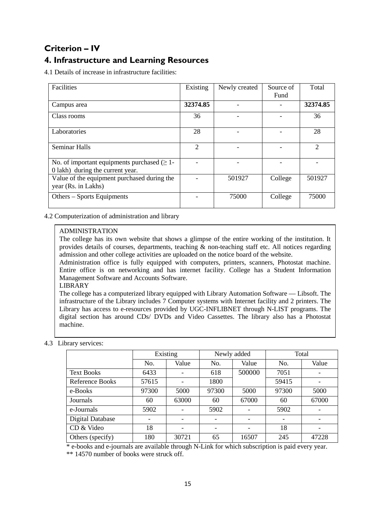# **Criterion – IV**

# **4. Infrastructure and Learning Resources**

4.1 Details of increase in infrastructure facilities:

| Facilities                                                                            | Existing       | Newly created | Source of | Total    |
|---------------------------------------------------------------------------------------|----------------|---------------|-----------|----------|
|                                                                                       |                |               | Fund      |          |
| Campus area                                                                           | 32374.85       |               |           | 32374.85 |
| Class rooms                                                                           | 36             |               |           | 36       |
| Laboratories                                                                          | 28             |               |           | 28       |
| <b>Seminar Halls</b>                                                                  | $\overline{2}$ |               |           | 2        |
| No. of important equipments purchased $(\geq 1$ -<br>0 lakh) during the current year. |                |               |           |          |
| Value of the equipment purchased during the<br>year (Rs. in Lakhs)                    |                | 501927        | College   | 501927   |
| Others - Sports Equipments                                                            |                | 75000         | College   | 75000    |

4.2 Computerization of administration and library

### ADMINISTRATION

The college has its own website that shows a glimpse of the entire working of the institution. It provides details of courses, departments, teaching  $\&$  non-teaching staff etc. All notices regarding admission and other college activities are uploaded on the notice board of the website.

Administration office is fully equipped with computers, printers, scanners, Photostat machine. Entire office is on networking and has internet facility. College has a Student Information Management Software and Accounts Software.

#### LIBRARY

The college has a computerized library equipped with Library Automation Software — Libsoft. The infrastructure of the Library includes 7 Computer systems with Internet facility and 2 printers. The Library has access to e-resources provided by UGC-INFLIBNET through N-LIST programs. The digital section has around CDs/ DVDs and Video Cassettes. The library also has a Photostat machine.

# 4.3 Library services:

|                   | Existing |       |       | Newly added              | Total |                          |
|-------------------|----------|-------|-------|--------------------------|-------|--------------------------|
|                   | No.      | Value | No.   | Value                    | No.   | Value                    |
| <b>Text Books</b> | 6433     |       | 618   | 500000                   | 7051  |                          |
| Reference Books   | 57615    |       | 1800  |                          | 59415 |                          |
| e-Books           | 97300    | 5000  | 97300 | 5000                     | 97300 | 5000                     |
| Journals          | 60       | 63000 | 60    | 67000                    | 60    | 67000                    |
| e-Journals        | 5902     |       | 5902  |                          | 5902  |                          |
| Digital Database  |          |       |       |                          |       |                          |
| CD & Video        | 18       |       |       | $\overline{\phantom{0}}$ | 18    | $\overline{\phantom{a}}$ |
| Others (specify)  | 180      | 30721 | 65    | 16507                    | 245   | 47228                    |

 \* e-books and e-journals are available through N-Link for which subscription is paid every year. \*\* 14570 number of books were struck off.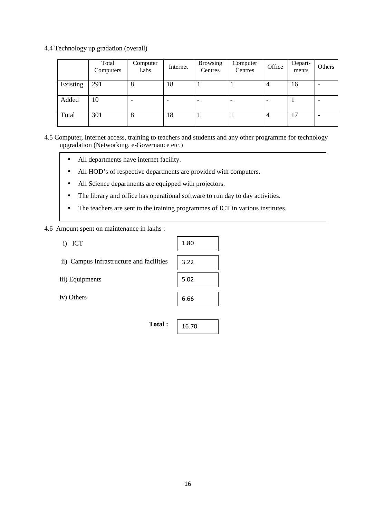4.4 Technology up gradation (overall)

|          | Total<br>Computers | Computer<br>Labs | Internet                 | <b>Browsing</b><br>Centres | Computer<br>Centres | Office | Depart-<br>ments | Others |
|----------|--------------------|------------------|--------------------------|----------------------------|---------------------|--------|------------------|--------|
| Existing | 291                | 8                | 18                       |                            |                     |        | 16               |        |
| Added    | 10                 |                  | $\overline{\phantom{a}}$ |                            |                     |        |                  |        |
| Total    | 301                | 8                | 18                       |                            |                     | 4      | 17               |        |

4.5 Computer, Internet access, training to teachers and students and any other programme for technology upgradation (Networking, e-Governance etc.)

- All departments have internet facility.
- All HOD's of respective departments are provided with computers.
- All Science departments are equipped with projectors.
- The library and office has operational software to run day to day activities.
- The teachers are sent to the training programmes of ICT in various institutes.

### 4.6 Amount spent on maintenance in lakhs :

i) ICT

|  |  | ii) Campus Infrastructure and facilities |  |  |
|--|--|------------------------------------------|--|--|
|--|--|------------------------------------------|--|--|

- iii) Equipments
- iv) Others

| 1.80 |
|------|
|      |
| 3.22 |
|      |
| 5.02 |
|      |
| 6.66 |
|      |

16.70

**Total :**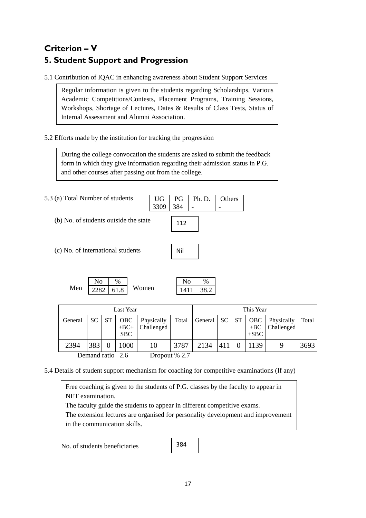# **Criterion – V 5. Student Support and Progression**

5.1 Contribution of IQAC in enhancing awareness about Student Support Services

Regular information is given to the students regarding Scholarships, Various Academic Competitions/Contests, Placement Programs, Training Sessions, Workshops, Shortage of Lectures, Dates & Results of Class Tests, Status of Internal Assessment and Alumni Association.

### 5.2 Efforts made by the institution for tracking the progression

During the college convocation the students are asked to submit the feedback form in which they give information regarding their admission status in P.G. and other courses after passing out from the college.

 $3309$  384 -

112

Nil

5.3 (a) Total Number of students

(b) No. of students outside the state

| (c) No. of international students |  |
|-----------------------------------|--|
|                                   |  |

|     |             | $\%$ |       |
|-----|-------------|------|-------|
| Men | $2282$ 61.8 |      | Women |

| ഹ    | $\%$        |
|------|-------------|
| 1411 | <b>3x 7</b> |

UG PG Ph. D. Others

|         |                                                |           | Last Year  |                                  |       |              |     |    | This Year       |                                |       |
|---------|------------------------------------------------|-----------|------------|----------------------------------|-------|--------------|-----|----|-----------------|--------------------------------|-------|
| General | SC.                                            | <b>ST</b> | OBC<br>SBC | Physically<br>$+BC+ $ Challenged | Total | General   SC |     | ST | $+BC$<br>$+SBC$ | OBC   Physically<br>Challenged | Total |
| 2394    | 383<br>$D$ and $\mathcal{A}$ and $\mathcal{A}$ |           | 1000       | 10                               | 3787  | 2134         | 411 |    | 1139            | y                              | 3693  |

Demand ratio 2.6 Dropout % 2.7

5.4 Details of student support mechanism for coaching for competitive examinations (If any)

Free coaching is given to the students of P.G. classes by the faculty to appear in NET examination. The faculty guide the students to appear in different competitive exams.

The extension lectures are organised for personality development and improvement in the communication skills.

No. of students beneficiaries

384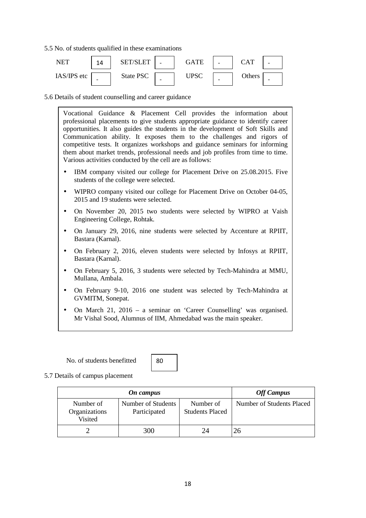5.5 No. of students qualified in these examinations



5.6 Details of student counselling and career guidance

Vocational Guidance & Placement Cell provides the information about professional placements to give students appropriate guidance to identify career opportunities. It also guides the students in the development of Soft Skills and Communication ability. It exposes them to the challenges and rigors of competitive tests. It organizes workshops and guidance seminars for informing them about market trends, professional needs and job profiles from time to time. Various activities conducted by the cell are as follows:

- IBM company visited our college for Placement Drive on 25.08.2015. Five students of the college were selected.
- WIPRO company visited our college for Placement Drive on October 04-05, 2015 and 19 students were selected.
- On November 20, 2015 two students were selected by WIPRO at Vaish Engineering College, Rohtak.
- On January 29, 2016, nine students were selected by Accenture at RPIIT, Bastara (Karnal).
- On February 2, 2016, eleven students were selected by Infosys at RPIIT, Bastara (Karnal).
- On February 5, 2016, 3 students were selected by Tech-Mahindra at MMU, Mullana, Ambala.
- On February 9-10, 2016 one student was selected by Tech-Mahindra at GVMITM, Sonepat.
- On March 21, 2016 a seminar on 'Career Counselling' was organised. Mr Vishal Sood, Alumnus of IIM, Ahmedabad was the main speaker.

No. of students benefitted

80

5.7 Details of campus placement

|                                       | <b>Off Campus</b>                  |                                     |                           |
|---------------------------------------|------------------------------------|-------------------------------------|---------------------------|
| Number of<br>Organizations<br>Visited | Number of Students<br>Participated | Number of<br><b>Students Placed</b> | Number of Students Placed |
|                                       | 300                                |                                     | 26                        |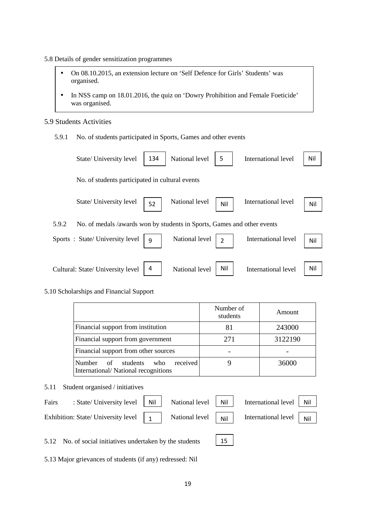- 5.8 Details of gender sensitization programmes
	- On 08.10.2015, an extension lecture on 'Self Defence for Girls' Students' was organised.
	- In NSS camp on 18.01.2016, the quiz on 'Dowry Prohibition and Female Foeticide' was organised.

### 5.9 Students Activities

5.9.1 No. of students participated in Sports, Games and other events

| State/ University level                                                          | 134 | National level | 5              | International level | Nil |
|----------------------------------------------------------------------------------|-----|----------------|----------------|---------------------|-----|
| No. of students participated in cultural events                                  |     |                |                |                     |     |
| State/ University level                                                          | 52  | National level | Nil            | International level | Nil |
| 5.9.2<br>No. of medals /awards won by students in Sports, Games and other events |     |                |                |                     |     |
| Sports: State/University level                                                   | -9  | National level | $\overline{2}$ | International level | Nil |
|                                                                                  |     |                |                |                     |     |
| Cultural: State/ University level                                                | 4   | National level | Nil            | International level | Nil |

#### 5.10 Scholarships and Financial Support

|                                                                                        | Number of<br>students | Amount  |
|----------------------------------------------------------------------------------------|-----------------------|---------|
| Financial support from institution                                                     | 81                    | 243000  |
| Financial support from government                                                      | 271                   | 3122190 |
| Financial support from other sources                                                   |                       |         |
| received<br><b>Number</b><br>of students<br>who<br>International/National recognitions |                       | 36000   |

### 5.11 Student organised / initiatives

| Fairs | : State/ University level   Nil   National level   Nil                                                                                                                                      |  | International level   Nil |  |
|-------|---------------------------------------------------------------------------------------------------------------------------------------------------------------------------------------------|--|---------------------------|--|
|       | Exhibition: State/ University level $\begin{vmatrix} 1 \\ 1 \end{vmatrix}$ National level $\begin{vmatrix} 1 \\ 1 \end{vmatrix}$ International level $\begin{vmatrix} 1 \\ 1 \end{vmatrix}$ |  |                           |  |

5.12 No. of social initiatives undertaken by the students

5.13 Major grievances of students (if any) redressed: Nil

15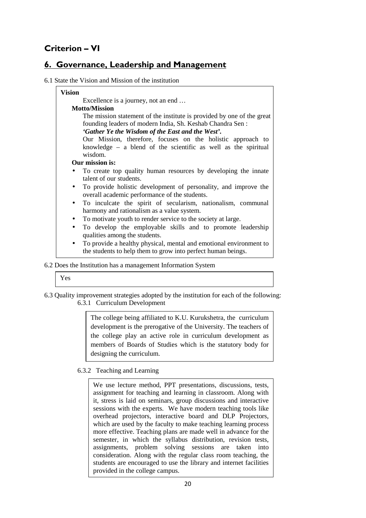# **Criterion – VI**

# **6. Governance, Leadership and Management**

### 6.1 State the Vision and Mission of the institution

| <b>Vision</b> |                                                                        |
|---------------|------------------------------------------------------------------------|
|               | Excellence is a journey, not an end                                    |
|               | <b>Motto/Mission</b>                                                   |
|               | The mission statement of the institute is provided by one of the great |
|               | founding leaders of modern India, Sh. Keshab Chandra Sen:              |
|               | 'Gather Ye the Wisdom of the East and the West'.                       |
|               | Our Mission, therefore, focuses on the holistic approach to            |
|               | knowledge $-$ a blend of the scientific as well as the spiritual       |
|               | wisdom.                                                                |
|               | Our mission is:                                                        |
|               | To create top quality human resources by developing the innate         |
|               | talent of our students.                                                |
| $\bullet$     | To provide holistic development of personality, and improve the        |
|               | overall academic performance of the students.                          |
| $\bullet$     | To inculcate the spirit of secularism, nationalism, communal           |
|               | harmony and rationalism as a value system.                             |
| $\bullet$     | To motivate youth to render service to the society at large.           |
| $\bullet$     | To develop the employable skills and to promote leadership             |
|               | qualities among the students.                                          |
| $\bullet$     | To provide a healthy physical, mental and emotional environment to     |
|               | the students to help them to grow into perfect human beings.           |

#### 6.2 Does the Institution has a management Information System

| ۰.<br>۰.<br>.,<br>v |
|---------------------|
|---------------------|

6.3 Quality improvement strategies adopted by the institution for each of the following: 6.3.1 Curriculum Development

> The college being affiliated to K.U. Kurukshetra, the curriculum development is the prerogative of the University. The teachers of the college play an active role in curriculum development as members of Boards of Studies which is the statutory body for designing the curriculum.

### 6.3.2 Teaching and Learning

We use lecture method, PPT presentations, discussions, tests, assignment for teaching and learning in classroom. Along with it, stress is laid on seminars, group discussions and interactive sessions with the experts. We have modern teaching tools like overhead projectors, interactive board and DLP Projectors, which are used by the faculty to make teaching learning process more effective. Teaching plans are made well in advance for the semester, in which the syllabus distribution, revision tests, assignments, problem solving sessions are taken into consideration. Along with the regular class room teaching, the students are encouraged to use the library and internet facilities provided in the college campus.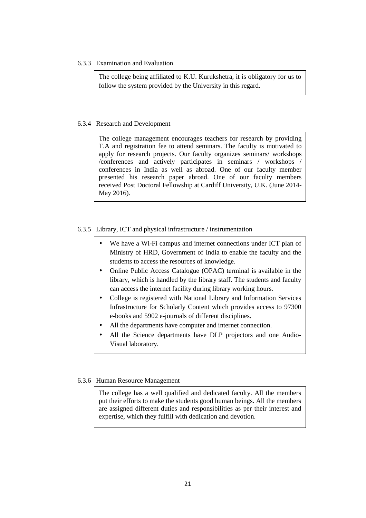6.3.3 Examination and Evaluation

The college being affiliated to K.U. Kurukshetra, it is obligatory for us to follow the system provided by the University in this regard.

#### 6.3.4 Research and Development

The college management encourages teachers for research by providing T.A and registration fee to attend seminars. The faculty is motivated to apply for research projects. Our faculty organizes seminars/ workshops /conferences and actively participates in seminars / workshops / conferences in India as well as abroad. One of our faculty member presented his research paper abroad. One of our faculty members received Post Doctoral Fellowship at Cardiff University, U.K. (June 2014- May 2016).

#### 6.3.5 Library, ICT and physical infrastructure / instrumentation

- We have a Wi-Fi campus and internet connections under ICT plan of Ministry of HRD, Government of India to enable the faculty and the students to access the resources of knowledge.
- Online Public Access Catalogue (OPAC) terminal is available in the library, which is handled by the library staff. The students and faculty can access the internet facility during library working hours.
- College is registered with National Library and Information Services Infrastructure for Scholarly Content which provides access to 97300 e-books and 5902 e-journals of different disciplines.
- All the departments have computer and internet connection.
- All the Science departments have DLP projectors and one Audio-Visual laboratory.

### 6.3.6 Human Resource Management

The college has a well qualified and dedicated faculty. All the members put their efforts to make the students good human beings. All the members are assigned different duties and responsibilities as per their interest and expertise, which they fulfill with dedication and devotion.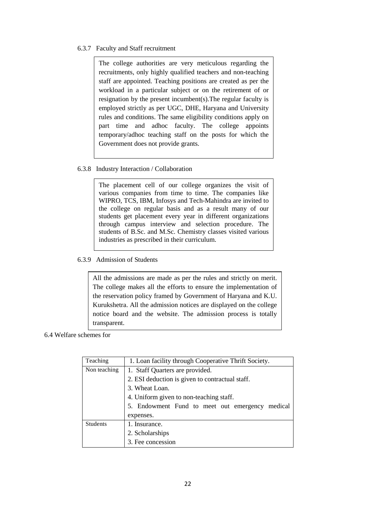### 6.3.7 Faculty and Staff recruitment

The college authorities are very meticulous regarding the recruitments, only highly qualified teachers and non-teaching staff are appointed. Teaching positions are created as per the workload in a particular subject or on the retirement of or resignation by the present incumbent(s).The regular faculty is employed strictly as per UGC, DHE, Haryana and University rules and conditions. The same eligibility conditions apply on part time and adhoc faculty. The college appoints temporary/adhoc teaching staff on the posts for which the Government does not provide grants.

### 6.3.8 Industry Interaction / Collaboration

The placement cell of our college organizes the visit of various companies from time to time. The companies like WIPRO, TCS, IBM, Infosys and Tech-Mahindra are invited to the college on regular basis and as a result many of our students get placement every year in different organizations through campus interview and selection procedure. The students of B.Sc. and M.Sc. Chemistry classes visited various industries as prescribed in their curriculum.

### 6.3.9 Admission of Students

All the admissions are made as per the rules and strictly on merit. The college makes all the efforts to ensure the implementation of the reservation policy framed by Government of Haryana and K.U. Kurukshetra. All the admission notices are displayed on the college notice board and the website. The admission process is totally transparent.

#### 6.4 Welfare schemes for

| Teaching        | 1. Loan facility through Cooperative Thrift Society. |  |  |  |  |
|-----------------|------------------------------------------------------|--|--|--|--|
| Non teaching    | 1. Staff Quarters are provided.                      |  |  |  |  |
|                 | 2. ESI deduction is given to contractual staff.      |  |  |  |  |
|                 | 3. Wheat Loan.                                       |  |  |  |  |
|                 | 4. Uniform given to non-teaching staff.              |  |  |  |  |
|                 | 5. Endowment Fund to meet out emergency medical      |  |  |  |  |
|                 | expenses.                                            |  |  |  |  |
| <b>Students</b> | 1. Insurance.                                        |  |  |  |  |
|                 | 2. Scholarships                                      |  |  |  |  |
|                 | 3. Fee concession                                    |  |  |  |  |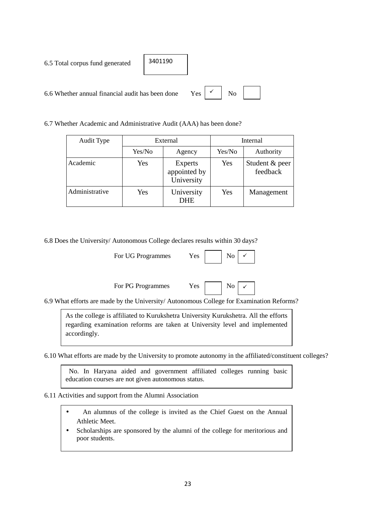|  |  |  |  | 6.5 Total corpus fund generated |
|--|--|--|--|---------------------------------|
|--|--|--|--|---------------------------------|

6.6 Whether annual financial audit has been done

| 3401190 |  |
|---------|--|
|         |  |

6.7 Whether Academic and Administrative Audit (AAA) has been done?

| <b>Audit Type</b> | External |                                       | Internal |                            |  |
|-------------------|----------|---------------------------------------|----------|----------------------------|--|
|                   | Yes/No   | Agency                                | Yes/No   | Authority                  |  |
| Academic          | Yes      | Experts<br>appointed by<br>University | Yes      | Student & peer<br>feedback |  |
| Administrative    | Yes      | University<br><b>DHE</b>              | Yes      | Management                 |  |

6.8 Does the University/ Autonomous College declares results within 30 days?

| For PG Programmes<br>Yes. | $\mid$ No $\mid \checkmark$ |  |
|---------------------------|-----------------------------|--|
|---------------------------|-----------------------------|--|

6.9 What efforts are made by the University/ Autonomous College for Examination Reforms?

As the college is affiliated to Kurukshetra University Kurukshetra. All the efforts regarding examination reforms are taken at University level and implemented accordingly.

6.10 What efforts are made by the University to promote autonomy in the affiliated/constituent colleges?

 No. In Haryana aided and government affiliated colleges running basic education courses are not given autonomous status.

6.11 Activities and support from the Alumni Association

- An alumnus of the college is invited as the Chief Guest on the Annual Athletic Meet.
- Scholarships are sponsored by the alumni of the college for meritorious and poor students.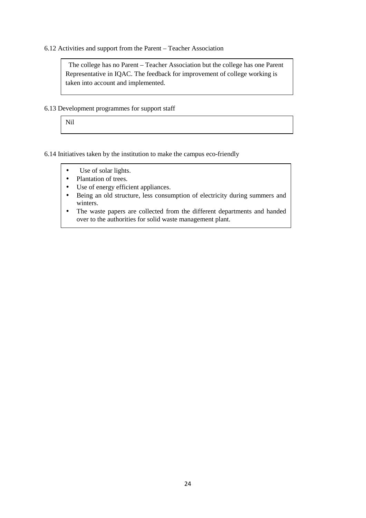6.12 Activities and support from the Parent – Teacher Association

 The college has no Parent – Teacher Association but the college has one Parent Representative in IQAC. The feedback for improvement of college working is taken into account and implemented.

6.13 Development programmes for support staff

Nil

6.14 Initiatives taken by the institution to make the campus eco-friendly

- Use of solar lights.
- Plantation of trees.
- Use of energy efficient appliances.
- Being an old structure, less consumption of electricity during summers and winters.
- The waste papers are collected from the different departments and handed over to the authorities for solid waste management plant.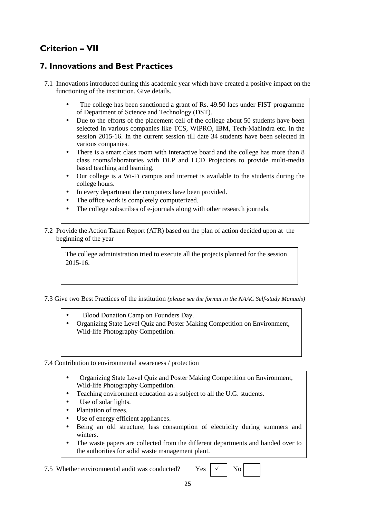# **Criterion – VII**

# **7. Innovations and Best Practices**

- 7.1 Innovations introduced during this academic year which have created a positive impact on the functioning of the institution. Give details.
	- The college has been sanctioned a grant of Rs. 49.50 lacs under FIST programme of Department of Science and Technology (DST).
	- Due to the efforts of the placement cell of the college about 50 students have been selected in various companies like TCS, WIPRO, IBM, Tech-Mahindra etc. in the session 2015-16. In the current session till date 34 students have been selected in various companies.
	- There is a smart class room with interactive board and the college has more than 8 class rooms/laboratories with DLP and LCD Projectors to provide multi-media based teaching and learning.
	- Our college is a Wi-Fi campus and internet is available to the students during the college hours.
	- In every department the computers have been provided.
	- The office work is completely computerized.
	- The college subscribes of e-journals along with other research journals.
- 7.2 Provide the Action Taken Report (ATR) based on the plan of action decided upon at the beginning of the year

The college administration tried to execute all the projects planned for the session 2015-16.

7.3 Give two Best Practices of the institution *(please see the format in the NAAC Self-study Manuals)*

- Blood Donation Camp on Founders Day.
- Organizing State Level Quiz and Poster Making Competition on Environment, Wild-life Photography Competition.

7.4 Contribution to environmental awareness / protection

- Organizing State Level Quiz and Poster Making Competition on Environment, Wild-life Photography Competition.
- Teaching environment education as a subject to all the U.G. students.
- Use of solar lights.
- Plantation of trees.
- Use of energy efficient appliances.
- Being an old structure, less consumption of electricity during summers and winters.
- The waste papers are collected from the different departments and handed over to the authorities for solid waste management plant.

7.5 Whether environmental audit was conducted? Yes  $\vert \times \vert$  No